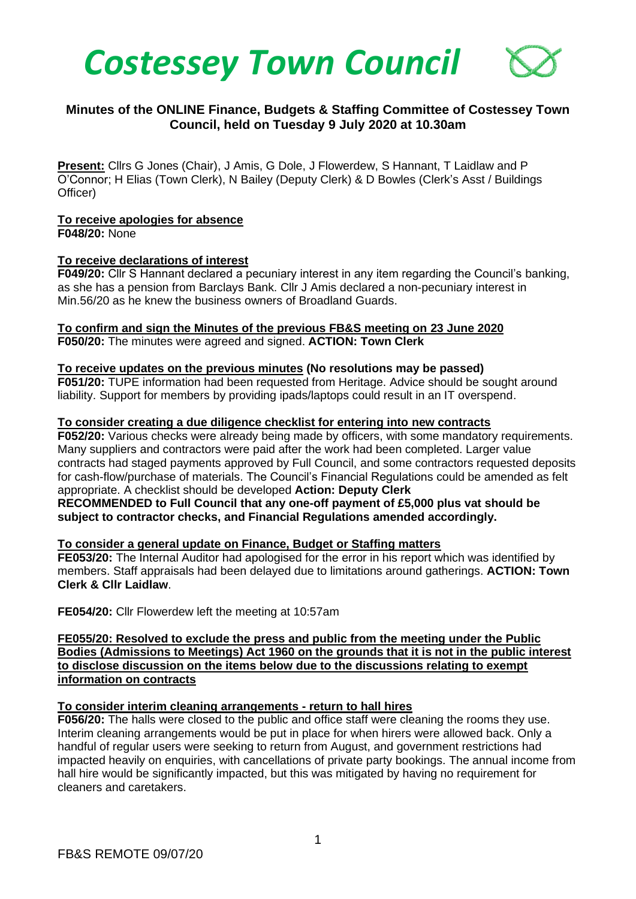

# **Minutes of the ONLINE Finance, Budgets & Staffing Committee of Costessey Town Council, held on Tuesday 9 July 2020 at 10.30am**

**Present:** Cllrs G Jones (Chair), J Amis, G Dole, J Flowerdew, S Hannant, T Laidlaw and P O'Connor; H Elias (Town Clerk), N Bailey (Deputy Clerk) & D Bowles (Clerk's Asst / Buildings Officer)

### **To receive apologies for absence**

**F048/20:** None

### **To receive declarations of interest**

**F049/20:** Cllr S Hannant declared a pecuniary interest in any item regarding the Council's banking, as she has a pension from Barclays Bank. Cllr J Amis declared a non-pecuniary interest in Min.56/20 as he knew the business owners of Broadland Guards.

### **To confirm and sign the Minutes of the previous FB&S meeting on 23 June 2020**

**F050/20:** The minutes were agreed and signed. **ACTION: Town Clerk**

### **To receive updates on the previous minutes (No resolutions may be passed)**

**F051/20:** TUPE information had been requested from Heritage. Advice should be sought around liability. Support for members by providing ipads/laptops could result in an IT overspend.

### **To consider creating a due diligence checklist for entering into new contracts**

**F052/20:** Various checks were already being made by officers, with some mandatory requirements. Many suppliers and contractors were paid after the work had been completed. Larger value contracts had staged payments approved by Full Council, and some contractors requested deposits for cash-flow/purchase of materials. The Council's Financial Regulations could be amended as felt appropriate. A checklist should be developed **Action: Deputy Clerk RECOMMENDED to Full Council that any one-off payment of £5,000 plus vat should be subject to contractor checks, and Financial Regulations amended accordingly.** 

## **To consider a general update on Finance, Budget or Staffing matters**

**FE053/20:** The Internal Auditor had apologised for the error in his report which was identified by members. Staff appraisals had been delayed due to limitations around gatherings. **ACTION: Town Clerk & Cllr Laidlaw**.

**FE054/20:** Cllr Flowerdew left the meeting at 10:57am

**FE055/20: Resolved to exclude the press and public from the meeting under the Public Bodies (Admissions to Meetings) Act 1960 on the grounds that it is not in the public interest to disclose discussion on the items below due to the discussions relating to exempt information on contracts**

## **To consider interim cleaning arrangements - return to hall hires**

**F056/20:** The halls were closed to the public and office staff were cleaning the rooms they use. Interim cleaning arrangements would be put in place for when hirers were allowed back. Only a handful of regular users were seeking to return from August, and government restrictions had impacted heavily on enquiries, with cancellations of private party bookings. The annual income from hall hire would be significantly impacted, but this was mitigated by having no requirement for cleaners and caretakers.